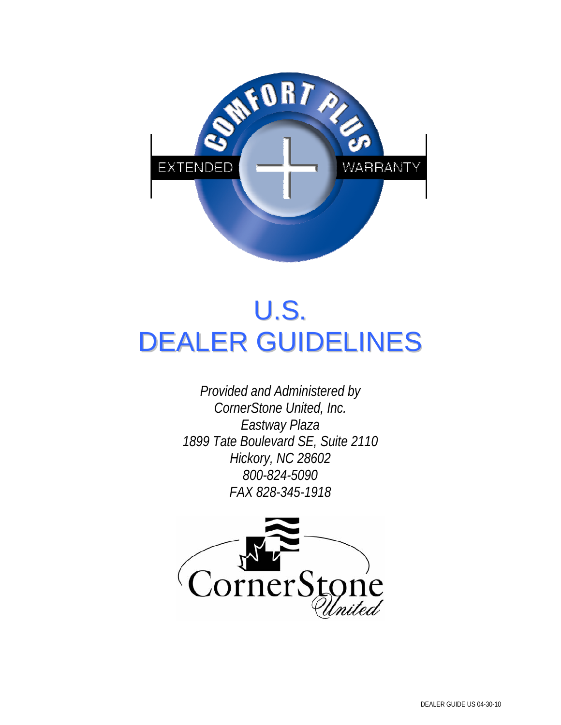

# U.S. DEALER GUIDELINES

*Provided and Administered by CornerStone United, Inc. Eastway Plaza 1899 Tate Boulevard SE, Suite 2110 Hickory, NC 28602 800-824-5090 FAX 828-345-1918* 

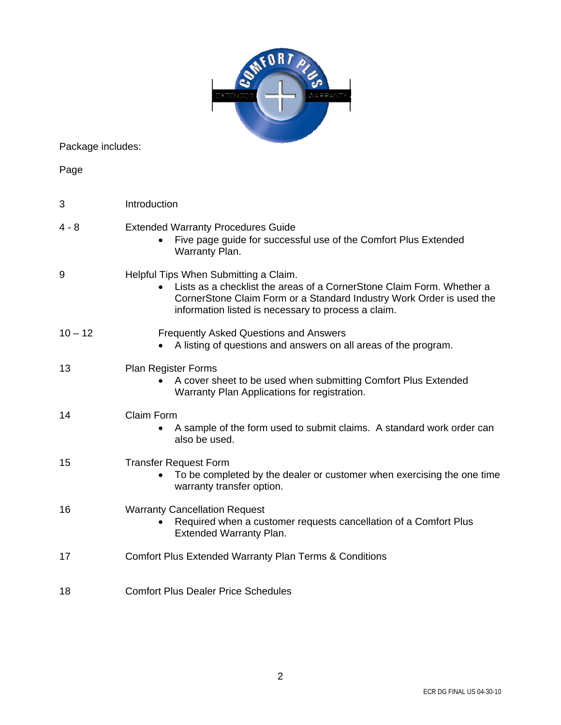|                   | 0 R Z                                                                                                                                                                                                                                         |
|-------------------|-----------------------------------------------------------------------------------------------------------------------------------------------------------------------------------------------------------------------------------------------|
| Package includes: |                                                                                                                                                                                                                                               |
| Page              |                                                                                                                                                                                                                                               |
| 3                 | Introduction                                                                                                                                                                                                                                  |
| 4 - 8             | <b>Extended Warranty Procedures Guide</b><br>Five page guide for successful use of the Comfort Plus Extended<br>Warranty Plan.                                                                                                                |
| 9                 | Helpful Tips When Submitting a Claim.<br>Lists as a checklist the areas of a CornerStone Claim Form. Whether a<br>CornerStone Claim Form or a Standard Industry Work Order is used the<br>information listed is necessary to process a claim. |
| $10 - 12$         | <b>Frequently Asked Questions and Answers</b><br>A listing of questions and answers on all areas of the program.                                                                                                                              |
| 13                | <b>Plan Register Forms</b><br>A cover sheet to be used when submitting Comfort Plus Extended<br>Warranty Plan Applications for registration.                                                                                                  |
| 14                | Claim Form<br>A sample of the form used to submit claims. A standard work order can<br>also be used.                                                                                                                                          |
| 15                | <b>Transfer Request Form</b><br>To be completed by the dealer or customer when exercising the one time<br>warranty transfer option.                                                                                                           |
| 16                | <b>Warranty Cancellation Request</b><br>Required when a customer requests cancellation of a Comfort Plus<br><b>Extended Warranty Plan.</b>                                                                                                    |
| 17                | <b>Comfort Plus Extended Warranty Plan Terms &amp; Conditions</b>                                                                                                                                                                             |
| 18                | <b>Comfort Plus Dealer Price Schedules</b>                                                                                                                                                                                                    |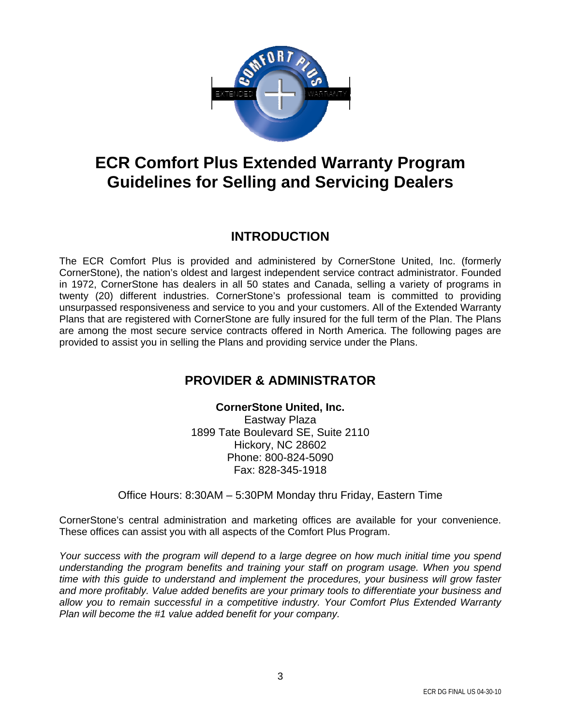

### **ECR Comfort Plus Extended Warranty Program Guidelines for Selling and Servicing Dealers**

#### **INTRODUCTION**

The ECR Comfort Plus is provided and administered by CornerStone United, Inc. (formerly CornerStone), the nation's oldest and largest independent service contract administrator. Founded in 1972, CornerStone has dealers in all 50 states and Canada, selling a variety of programs in twenty (20) different industries. CornerStone's professional team is committed to providing unsurpassed responsiveness and service to you and your customers. All of the Extended Warranty Plans that are registered with CornerStone are fully insured for the full term of the Plan. The Plans are among the most secure service contracts offered in North America. The following pages are provided to assist you in selling the Plans and providing service under the Plans.

#### **PROVIDER & ADMINISTRATOR**

**CornerStone United, Inc.**  Eastway Plaza 1899 Tate Boulevard SE, Suite 2110 Hickory, NC 28602 Phone: 800-824-5090 Fax: 828-345-1918

Office Hours: 8:30AM – 5:30PM Monday thru Friday, Eastern Time

CornerStone's central administration and marketing offices are available for your convenience. These offices can assist you with all aspects of the Comfort Plus Program.

*Your success with the program will depend to a large degree on how much initial time you spend understanding the program benefits and training your staff on program usage. When you spend time with this guide to understand and implement the procedures, your business will grow faster and more profitably. Value added benefits are your primary tools to differentiate your business and allow you to remain successful in a competitive industry. Your Comfort Plus Extended Warranty Plan will become the #1 value added benefit for your company.*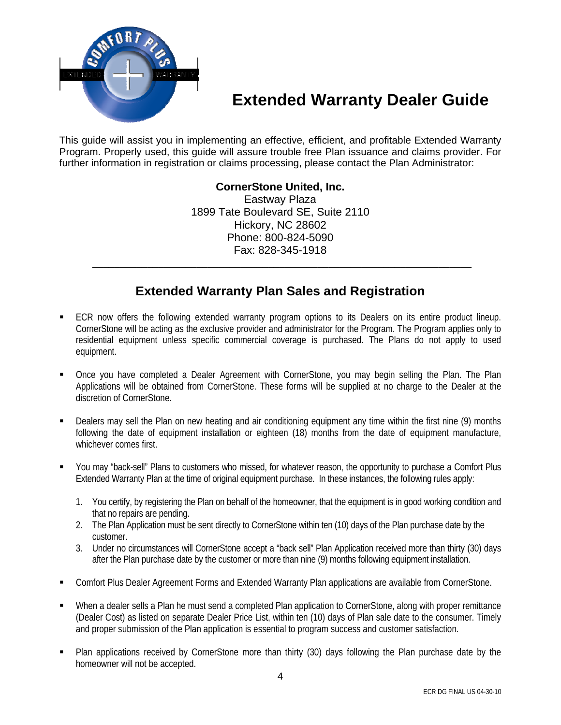

### **Extended Warranty Dealer Guide**

This guide will assist you in implementing an effective, efficient, and profitable Extended Warranty Program. Properly used, this guide will assure trouble free Plan issuance and claims provider. For further information in registration or claims processing, please contact the Plan Administrator:

#### **CornerStone United, Inc.**

Eastway Plaza 1899 Tate Boulevard SE, Suite 2110 Hickory, NC 28602 Phone: 800-824-5090 Fax: 828-345-1918

#### **Extended Warranty Plan Sales and Registration**

\_\_\_\_\_\_\_\_\_\_\_\_\_\_\_\_\_\_\_\_\_\_\_\_\_\_\_\_\_\_\_\_\_\_\_\_\_\_\_\_\_\_\_\_\_\_\_\_\_\_\_\_\_\_\_\_\_\_\_\_\_\_\_\_\_\_\_\_\_

- ECR now offers the following extended warranty program options to its Dealers on its entire product lineup. CornerStone will be acting as the exclusive provider and administrator for the Program. The Program applies only to residential equipment unless specific commercial coverage is purchased. The Plans do not apply to used equipment.
- Once you have completed a Dealer Agreement with CornerStone, you may begin selling the Plan. The Plan Applications will be obtained from CornerStone. These forms will be supplied at no charge to the Dealer at the discretion of CornerStone.
- Dealers may sell the Plan on new heating and air conditioning equipment any time within the first nine (9) months following the date of equipment installation or eighteen (18) months from the date of equipment manufacture, whichever comes first.
- You may "back-sell" Plans to customers who missed, for whatever reason, the opportunity to purchase a Comfort Plus Extended Warranty Plan at the time of original equipment purchase. In these instances, the following rules apply:
	- 1. You certify, by registering the Plan on behalf of the homeowner, that the equipment is in good working condition and that no repairs are pending.
	- 2. The Plan Application must be sent directly to CornerStone within ten (10) days of the Plan purchase date by the customer.
	- 3. Under no circumstances will CornerStone accept a "back sell" Plan Application received more than thirty (30) days after the Plan purchase date by the customer or more than nine (9) months following equipment installation.
- Comfort Plus Dealer Agreement Forms and Extended Warranty Plan applications are available from CornerStone.
- When a dealer sells a Plan he must send a completed Plan application to CornerStone, along with proper remittance (Dealer Cost) as listed on separate Dealer Price List, within ten (10) days of Plan sale date to the consumer. Timely and proper submission of the Plan application is essential to program success and customer satisfaction.
- Plan applications received by CornerStone more than thirty (30) days following the Plan purchase date by the homeowner will not be accepted.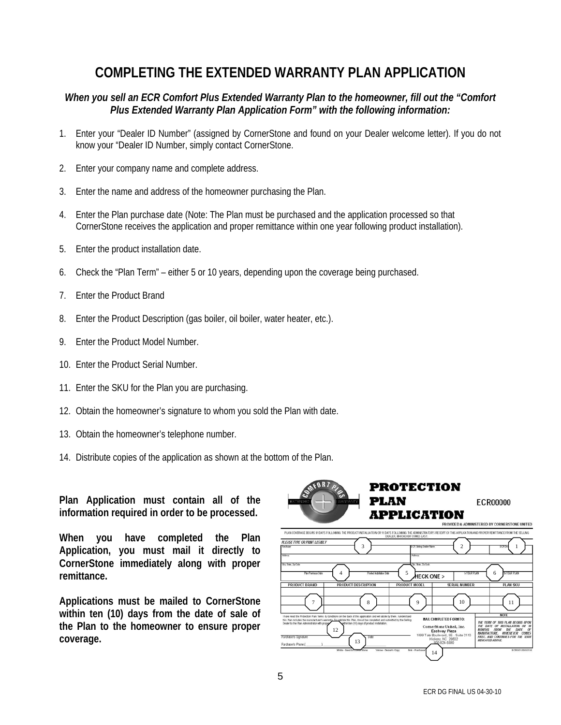### **COMPLETING THE EXTENDED WARRANTY PLAN APPLICATION**

#### *When you sell an ECR Comfort Plus Extended Warranty Plan to the homeowner, fill out the "Comfort Plus Extended Warranty Plan Application Form" with the following information:*

- 1. Enter your "Dealer ID Number" (assigned by CornerStone and found on your Dealer welcome letter). If you do not know your "Dealer ID Number, simply contact CornerStone.
- 2. Enter your company name and complete address.
- 3. Enter the name and address of the homeowner purchasing the Plan.
- 4. Enter the Plan purchase date (Note: The Plan must be purchased and the application processed so that CornerStone receives the application and proper remittance within one year following product installation).
- 5. Enter the product installation date.
- 6. Check the "Plan Term" either 5 or 10 years, depending upon the coverage being purchased.
- 7. Enter the Product Brand
- 8. Enter the Product Description (gas boiler, oil boiler, water heater, etc.).
- 9. Enter the Product Model Number.
- 10. Enter the Product Serial Number.
- 11. Enter the SKU for the Plan you are purchasing.
- 12. Obtain the homeowner's signature to whom you sold the Plan with date.
- 13. Obtain the homeowner's telephone number.
- 14. Distribute copies of the application as shown at the bottom of the Plan.

**Plan Application must contain all of the information required in order to be processed.** 

**When you have completed the Plan Application, you must mail it directly to CornerStone immediately along with proper remittance.** 

**Applications must be mailed to CornerStone within ten (10) days from the date of sale of the Plan to the homeowner to ensure proper coverage.** 

| PLAN<br>WARRANTY<br>EXTENDE                                                                                                                                                                                                                                                                                                                                                                                                                                          | <b>PROTECTION</b><br><b>ECR00000</b><br><b>APPLICATION</b>                                                                                                                                                                                                                                                                                                                                                                          |
|----------------------------------------------------------------------------------------------------------------------------------------------------------------------------------------------------------------------------------------------------------------------------------------------------------------------------------------------------------------------------------------------------------------------------------------------------------------------|-------------------------------------------------------------------------------------------------------------------------------------------------------------------------------------------------------------------------------------------------------------------------------------------------------------------------------------------------------------------------------------------------------------------------------------|
|                                                                                                                                                                                                                                                                                                                                                                                                                                                                      | PROVIDED & ADMINISTERED BY CORNERSTONE UNITED                                                                                                                                                                                                                                                                                                                                                                                       |
| PLAN COVERAGE BEGINS 91 DAYS FOLLOWING THE PRODUCT INSTALLATION OR 15 DAYS FOLLOWING THE ADMINISTRATOR'S RECEIPT OF THIS APPLICATION AND PROPER REMITTANCE FROM THE SELLING<br>DEALER, WHICHEVER COMES LAST<br>PLEASE TYPE OR PRINT LEGISLY<br>3<br>Pindiager<br>Address<br>Ory. State, Zip Code<br>5<br>4<br>Plan Pumbase Dide<br>Product Installation Date<br>PRODUCT BRAND<br>PRODUCT DESCRIPTION<br>PRODUCT MODEL<br>7<br>8                                      | $\overline{c}$<br><b>CR Selling Dealer Name</b><br>ECR <sub>D</sub><br>1<br>Address<br>On: Ibm Zachde<br>YG-YEAR PLAN<br><b>SYELD PLAN</b><br>6<br><b>HECK ONE &gt;</b><br>SERIAL NUMBER<br><b>PLAN SKU</b><br>10<br>9<br>11                                                                                                                                                                                                        |
| I have read the Protection Plan Tems & Conditions on the back of this application and will abide by them. I understand<br>this Plan includes the manufacturer's warranty. To validate this Plan, it must be completed and submitted by the Selling<br>Dealer to the Plan Administrator with proper<br>within ten (10) days of product installation.<br>12<br>Purchaser's Signature<br>Date<br>13<br>Purchaser's Phone (<br>White - Send to<br>Yellow - Dealer's Copy | <b>NOTE</b><br><b>MAIL COMPLETED FORM TO:</b><br>THE TERM OF THIS PLAN BEGINS UPON<br>THE DATE OF INSTALLATION OR 18<br>CornerStone United, Inc.<br>MONTHS FROM<br><b>THE</b><br>OF<br>DATE<br>Eastway Plaza<br>MARIFACTURE, WHICHEVER COMES<br>1899 Tate Boulevard, SE - Suite 2110<br>FIRST, AND CONTINUES FOR THE TERM<br>Hickory, NC 28602<br><b>INDICATED ABOVE</b><br>800-824-5090<br>Pink - Purchase<br>ECROO1US080108<br>14 |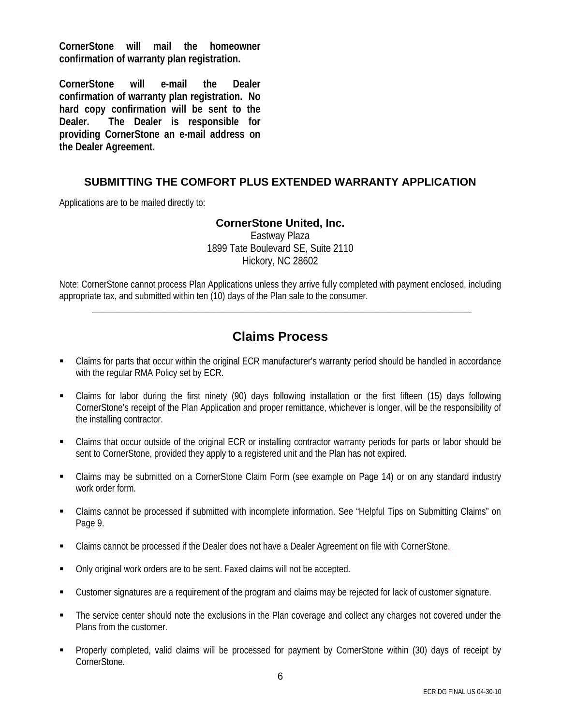**CornerStone will mail the homeowner confirmation of warranty plan registration.** 

**CornerStone will e-mail the Dealer confirmation of warranty plan registration. No hard copy confirmation will be sent to the Dealer. The Dealer is responsible for providing CornerStone an e-mail address on the Dealer Agreement.** 

#### **SUBMITTING THE COMFORT PLUS EXTENDED WARRANTY APPLICATION**

Applications are to be mailed directly to:

#### **CornerStone United, Inc.**

Eastway Plaza 1899 Tate Boulevard SE, Suite 2110 Hickory, NC 28602

Note: CornerStone cannot process Plan Applications unless they arrive fully completed with payment enclosed, including appropriate tax, and submitted within ten (10) days of the Plan sale to the consumer.

\_\_\_\_\_\_\_\_\_\_\_\_\_\_\_\_\_\_\_\_\_\_\_\_\_\_\_\_\_\_\_\_\_\_\_\_\_\_\_\_\_\_\_\_\_\_\_\_\_\_\_\_\_\_\_\_\_\_\_\_\_\_\_\_\_\_\_\_\_

#### **Claims Process**

- Claims for parts that occur within the original ECR manufacturer's warranty period should be handled in accordance with the regular RMA Policy set by ECR.
- Claims for labor during the first ninety (90) days following installation or the first fifteen (15) days following CornerStone's receipt of the Plan Application and proper remittance, whichever is longer, will be the responsibility of the installing contractor.
- Claims that occur outside of the original ECR or installing contractor warranty periods for parts or labor should be sent to CornerStone, provided they apply to a registered unit and the Plan has not expired.
- Claims may be submitted on a CornerStone Claim Form (see example on Page 14) or on any standard industry work order form.
- Claims cannot be processed if submitted with incomplete information. See "Helpful Tips on Submitting Claims" on Page 9.
- Claims cannot be processed if the Dealer does not have a Dealer Agreement on file with CornerStone.
- Only original work orders are to be sent. Faxed claims will not be accepted.
- Customer signatures are a requirement of the program and claims may be rejected for lack of customer signature.
- The service center should note the exclusions in the Plan coverage and collect any charges not covered under the Plans from the customer.
- Properly completed, valid claims will be processed for payment by CornerStone within (30) days of receipt by CornerStone.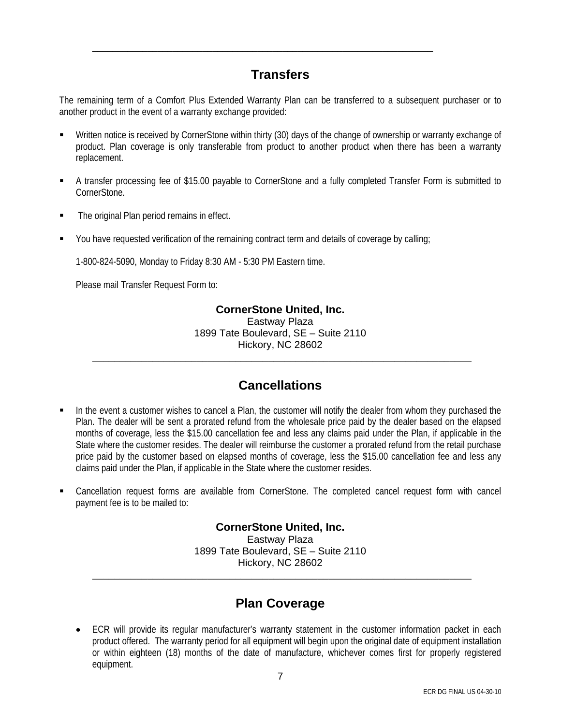#### **Transfers**

\_\_\_\_\_\_\_\_\_\_\_\_\_\_\_\_\_\_\_\_\_\_\_\_\_\_\_\_\_\_\_\_\_\_\_\_\_\_\_\_\_\_\_\_\_\_\_\_\_\_\_\_\_\_\_\_\_\_\_\_\_\_\_\_\_\_\_\_

The remaining term of a Comfort Plus Extended Warranty Plan can be transferred to a subsequent purchaser or to another product in the event of a warranty exchange provided:

- Written notice is received by CornerStone within thirty (30) days of the change of ownership or warranty exchange of product. Plan coverage is only transferable from product to another product when there has been a warranty replacement.
- A transfer processing fee of \$15.00 payable to CornerStone and a fully completed Transfer Form is submitted to CornerStone.
- The original Plan period remains in effect.
- You have requested verification of the remaining contract term and details of coverage by calling;

1-800-824-5090, Monday to Friday 8:30 AM - 5:30 PM Eastern time.

Please mail Transfer Request Form to:

#### **CornerStone United, Inc.**

Eastway Plaza 1899 Tate Boulevard, SE – Suite 2110 Hickory, NC 28602

\_\_\_\_\_\_\_\_\_\_\_\_\_\_\_\_\_\_\_\_\_\_\_\_\_\_\_\_\_\_\_\_\_\_\_\_\_\_\_\_\_\_\_\_\_\_\_\_\_\_\_\_\_\_\_\_\_\_\_\_\_\_\_\_\_\_\_\_\_

#### **Cancellations**

- In the event a customer wishes to cancel a Plan, the customer will notify the dealer from whom they purchased the Plan. The dealer will be sent a prorated refund from the wholesale price paid by the dealer based on the elapsed months of coverage, less the \$15.00 cancellation fee and less any claims paid under the Plan, if applicable in the State where the customer resides. The dealer will reimburse the customer a prorated refund from the retail purchase price paid by the customer based on elapsed months of coverage, less the \$15.00 cancellation fee and less any claims paid under the Plan, if applicable in the State where the customer resides.
- Cancellation request forms are available from CornerStone. The completed cancel request form with cancel payment fee is to be mailed to:

#### **CornerStone United, Inc.**

Eastway Plaza 1899 Tate Boulevard, SE – Suite 2110 Hickory, NC 28602

\_\_\_\_\_\_\_\_\_\_\_\_\_\_\_\_\_\_\_\_\_\_\_\_\_\_\_\_\_\_\_\_\_\_\_\_\_\_\_\_\_\_\_\_\_\_\_\_\_\_\_\_\_\_\_\_\_\_\_\_\_\_\_\_\_\_\_\_\_

#### **Plan Coverage**

• ECR will provide its regular manufacturer's warranty statement in the customer information packet in each product offered. The warranty period for all equipment will begin upon the original date of equipment installation or within eighteen (18) months of the date of manufacture, whichever comes first for properly registered equipment.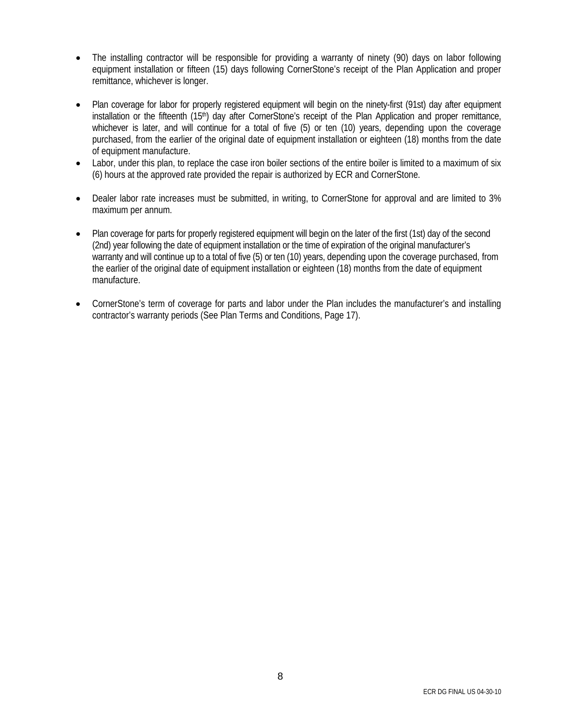- The installing contractor will be responsible for providing a warranty of ninety (90) days on labor following equipment installation or fifteen (15) days following CornerStone's receipt of the Plan Application and proper remittance, whichever is longer.
- Plan coverage for labor for properly registered equipment will begin on the ninety-first (91st) day after equipment installation or the fifteenth (15<sup>th</sup>) day after CornerStone's receipt of the Plan Application and proper remittance, whichever is later, and will continue for a total of five (5) or ten (10) years, depending upon the coverage purchased, from the earlier of the original date of equipment installation or eighteen (18) months from the date of equipment manufacture.
- Labor, under this plan, to replace the case iron boiler sections of the entire boiler is limited to a maximum of six (6) hours at the approved rate provided the repair is authorized by ECR and CornerStone.
- Dealer labor rate increases must be submitted, in writing, to CornerStone for approval and are limited to 3% maximum per annum.
- Plan coverage for parts for properly registered equipment will begin on the later of the first (1st) day of the second (2nd) year following the date of equipment installation or the time of expiration of the original manufacturer's warranty and will continue up to a total of five (5) or ten (10) years, depending upon the coverage purchased, from the earlier of the original date of equipment installation or eighteen (18) months from the date of equipment manufacture.
- CornerStone's term of coverage for parts and labor under the Plan includes the manufacturer's and installing contractor's warranty periods (See Plan Terms and Conditions, Page 17).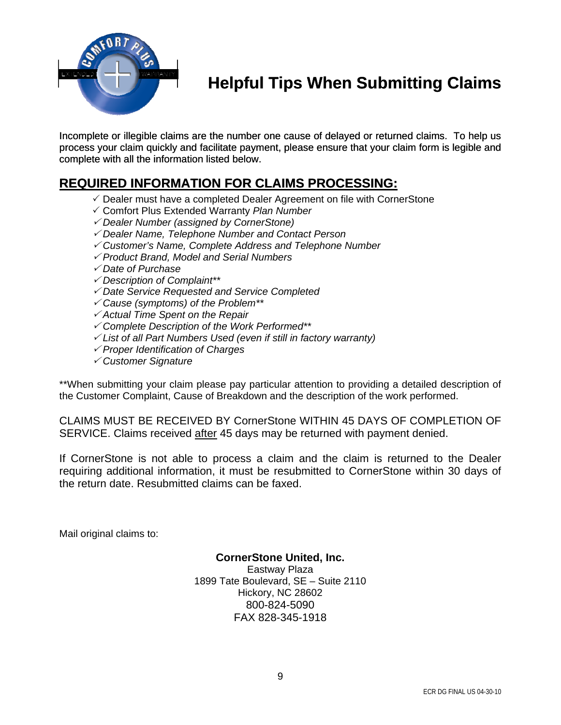

### **Helpful Tips When Submitting Claims**

Incomplete or illegible claims are the number one cause of delayed or returned claims. To help us process your claim quickly and facilitate payment, please ensure that your claim form is legible and complete with all the information listed below.

#### **REQUIRED INFORMATION FOR CLAIMS PROCESSING:**

- $\checkmark$  Dealer must have a completed Dealer Agreement on file with CornerStone
- 3 Comfort Plus Extended Warranty *Plan Number*
- <sup>3</sup> *Dealer Number (assigned by CornerStone)*
- <sup>3</sup> *Dealer Name, Telephone Number and Contact Person*
- <sup>3</sup> *Customer's Name, Complete Address and Telephone Number*
- <sup>3</sup> *Product Brand, Model and Serial Numbers*
- <sup>3</sup> *Date of Purchase*
- <sup>3</sup> *Description of Complaint\*\**
- <sup>3</sup> *Date Service Requested and Service Completed*
- <sup>3</sup> *Cause (symptoms) of the Problem\*\**
- <sup>3</sup> *Actual Time Spent on the Repair*
- <sup>3</sup> *Complete Description of the Work Performed\*\**
- <sup>3</sup> *List of all Part Numbers Used (even if still in factory warranty)*
- <sup>3</sup> *Proper Identification of Charges*
- <sup>3</sup> *Customer Signature*

\*\*When submitting your claim please pay particular attention to providing a detailed description of the Customer Complaint, Cause of Breakdown and the description of the work performed.

CLAIMS MUST BE RECEIVED BY CornerStone WITHIN 45 DAYS OF COMPLETION OF SERVICE. Claims received after 45 days may be returned with payment denied.

If CornerStone is not able to process a claim and the claim is returned to the Dealer requiring additional information, it must be resubmitted to CornerStone within 30 days of the return date. Resubmitted claims can be faxed.

Mail original claims to:

#### **CornerStone United, Inc.**  Eastway Plaza 1899 Tate Boulevard, SE – Suite 2110 Hickory, NC 28602 800-824-5090

FAX 828-345-1918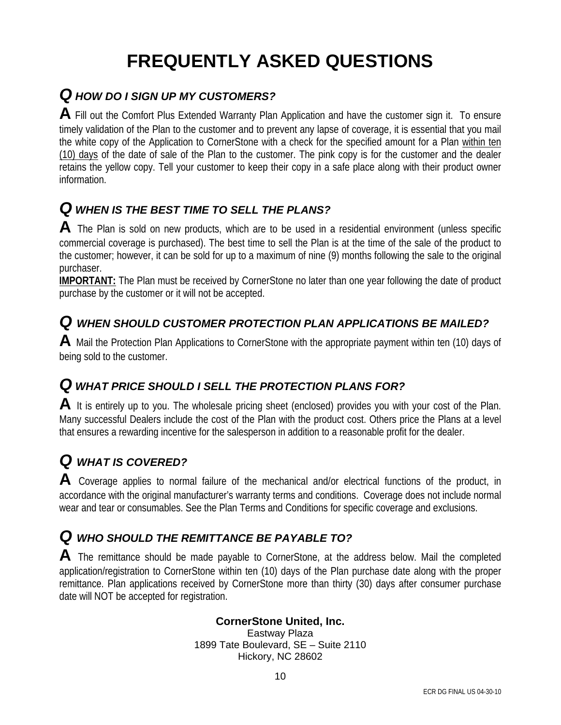## **FREQUENTLY ASKED QUESTIONS**

### *Q HOW DO I SIGN UP MY CUSTOMERS?*

**A** Fill out the Comfort Plus Extended Warranty Plan Application and have the customer sign it. To ensure timely validation of the Plan to the customer and to prevent any lapse of coverage, it is essential that you mail the white copy of the Application to CornerStone with a check for the specified amount for a Plan within ten (10) days of the date of sale of the Plan to the customer. The pink copy is for the customer and the dealer retains the yellow copy. Tell your customer to keep their copy in a safe place along with their product owner information.

### *Q WHEN IS THE BEST TIME TO SELL THE PLANS?*

**A** The Plan is sold on new products, which are to be used in a residential environment (unless specific commercial coverage is purchased). The best time to sell the Plan is at the time of the sale of the product to the customer; however, it can be sold for up to a maximum of nine (9) months following the sale to the original purchaser.

**IMPORTANT:** The Plan must be received by CornerStone no later than one year following the date of product purchase by the customer or it will not be accepted.

#### *Q WHEN SHOULD CUSTOMER PROTECTION PLAN APPLICATIONS BE MAILED?*

**A** Mail the Protection Plan Applications to CornerStone with the appropriate payment within ten (10) days of being sold to the customer.

### *Q WHAT PRICE SHOULD I SELL THE PROTECTION PLANS FOR?*

**A** It is entirely up to you. The wholesale pricing sheet (enclosed) provides you with your cost of the Plan. Many successful Dealers include the cost of the Plan with the product cost. Others price the Plans at a level that ensures a rewarding incentive for the salesperson in addition to a reasonable profit for the dealer.

### *Q WHAT IS COVERED?*

**A** Coverage applies to normal failure of the mechanical and/or electrical functions of the product, in accordance with the original manufacturer's warranty terms and conditions. Coverage does not include normal wear and tear or consumables. See the Plan Terms and Conditions for specific coverage and exclusions.

#### *Q WHO SHOULD THE REMITTANCE BE PAYABLE TO?*

A The remittance should be made payable to CornerStone, at the address below. Mail the completed application/registration to CornerStone within ten (10) days of the Plan purchase date along with the proper remittance. Plan applications received by CornerStone more than thirty (30) days after consumer purchase date will NOT be accepted for registration.

#### **CornerStone United, Inc.**

Eastway Plaza 1899 Tate Boulevard, SE – Suite 2110 Hickory, NC 28602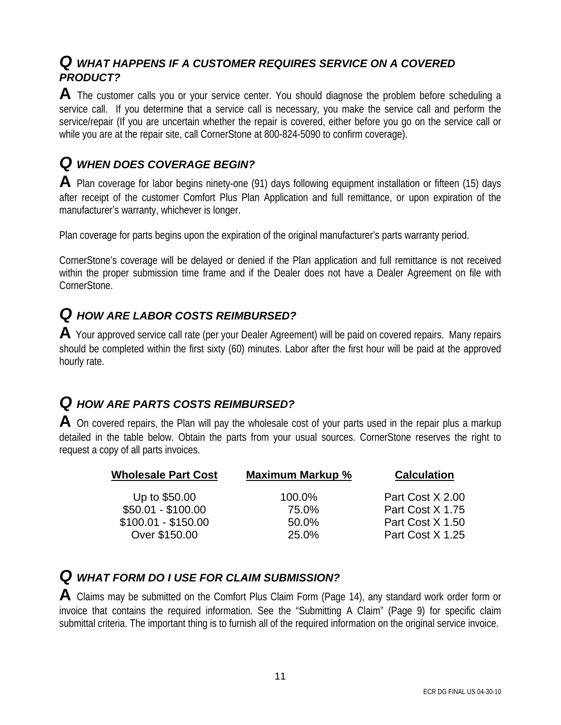#### *Q WHAT HAPPENS IF A CUSTOMER REQUIRES SERVICE ON A COVERED PRODUCT?*

A The customer calls you or your service center. You should diagnose the problem before scheduling a service call. If you determine that a service call is necessary, you make the service call and perform the service/repair (If you are uncertain whether the repair is covered, either before you go on the service call or while you are at the repair site, call CornerStone at 800-824-5090 to confirm coverage).

### *Q WHEN DOES COVERAGE BEGIN?*

**A** Plan coverage for labor begins ninety-one (91) days following equipment installation or fifteen (15) days after receipt of the customer Comfort Plus Plan Application and full remittance, or upon expiration of the manufacturer's warranty, whichever is longer.

Plan coverage for parts begins upon the expiration of the original manufacturer's parts warranty period.

CornerStone's coverage will be delayed or denied if the Plan application and full remittance is not received within the proper submission time frame and if the Dealer does not have a Dealer Agreement on file with CornerStone.

### *Q HOW ARE LABOR COSTS REIMBURSED?*

A Your approved service call rate (per your Dealer Agreement) will be paid on covered repairs. Many repairs should be completed within the first sixty (60) minutes. Labor after the first hour will be paid at the approved hourly rate.

### *Q HOW ARE PARTS COSTS REIMBURSED?*

**A** On covered repairs, the Plan will pay the wholesale cost of your parts used in the repair plus a markup detailed in the table below. Obtain the parts from your usual sources. CornerStone reserves the right to request a copy of all parts invoices.

| Maximum Markup % | <b>Calculation</b> |
|------------------|--------------------|
| 100.0%           | Part Cost X 2.00   |
| 75.0%            | Part Cost X 1.75   |
| 50.0%            | Part Cost X 1.50   |
| 25.0%            | Part Cost X 1.25   |
|                  |                    |

#### *Q WHAT FORM DO I USE FOR CLAIM SUBMISSION?*

**A** Claims may be submitted on the Comfort Plus Claim Form (Page 14), any standard work order form or invoice that contains the required information. See the "Submitting A Claim" (Page 9) for specific claim submittal criteria. The important thing is to furnish all of the required information on the original service invoice.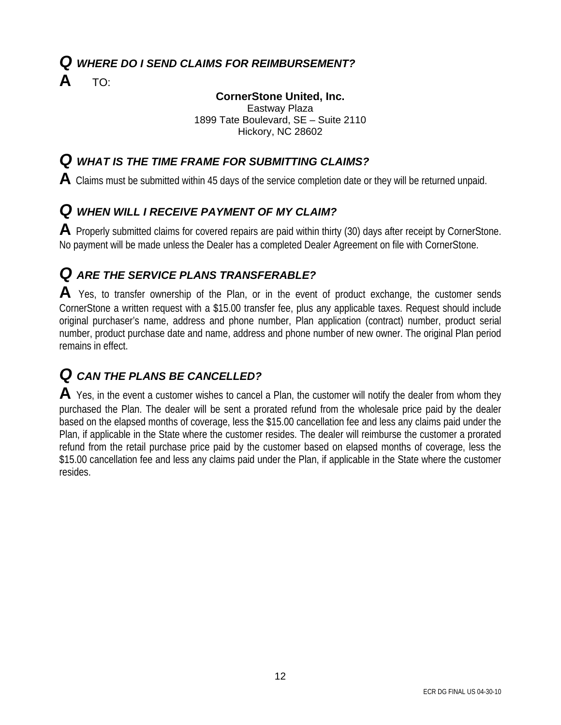#### *Q WHERE DO I SEND CLAIMS FOR REIMBURSEMENT?*

**A** TO:

#### **CornerStone United, Inc.**

Eastway Plaza 1899 Tate Boulevard, SE – Suite 2110 Hickory, NC 28602

#### *Q WHAT IS THE TIME FRAME FOR SUBMITTING CLAIMS?*

**A** Claims must be submitted within 45 days of the service completion date or they will be returned unpaid.

### *Q WHEN WILL I RECEIVE PAYMENT OF MY CLAIM?*

**A** Properly submitted claims for covered repairs are paid within thirty (30) days after receipt by CornerStone. No payment will be made unless the Dealer has a completed Dealer Agreement on file with CornerStone.

### *Q ARE THE SERVICE PLANS TRANSFERABLE?*

A Yes, to transfer ownership of the Plan, or in the event of product exchange, the customer sends CornerStone a written request with a \$15.00 transfer fee, plus any applicable taxes. Request should include original purchaser's name, address and phone number, Plan application (contract) number, product serial number, product purchase date and name, address and phone number of new owner. The original Plan period remains in effect.

### *Q CAN THE PLANS BE CANCELLED?*

**A** Yes, in the event a customer wishes to cancel a Plan, the customer will notify the dealer from whom they purchased the Plan. The dealer will be sent a prorated refund from the wholesale price paid by the dealer based on the elapsed months of coverage, less the \$15.00 cancellation fee and less any claims paid under the Plan, if applicable in the State where the customer resides. The dealer will reimburse the customer a prorated refund from the retail purchase price paid by the customer based on elapsed months of coverage, less the \$15.00 cancellation fee and less any claims paid under the Plan, if applicable in the State where the customer resides.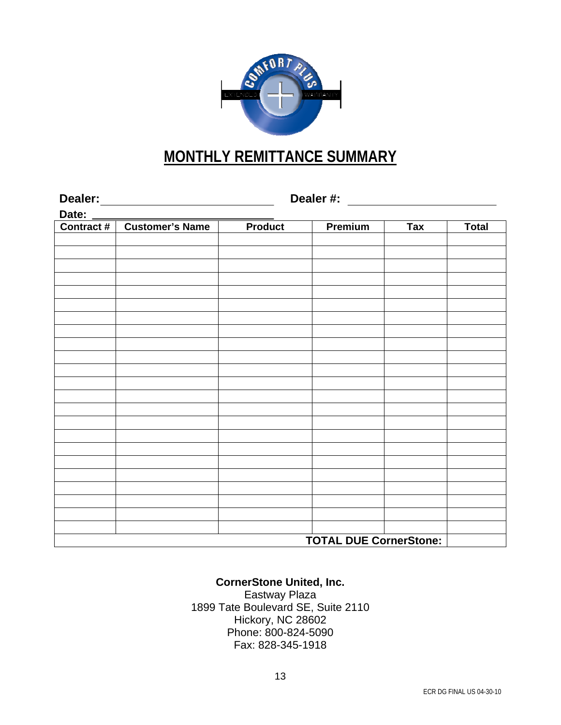

### **MONTHLY REMITTANCE SUMMARY**

| Date: _____ |                |                               |            |              |  |  |
|-------------|----------------|-------------------------------|------------|--------------|--|--|
|             | <b>Product</b> | Premium                       | <b>Tax</b> | <b>Total</b> |  |  |
|             |                |                               |            |              |  |  |
|             |                |                               |            |              |  |  |
|             |                |                               |            |              |  |  |
|             |                |                               |            |              |  |  |
|             |                |                               |            |              |  |  |
|             |                |                               |            |              |  |  |
|             |                |                               |            |              |  |  |
|             |                |                               |            |              |  |  |
|             |                |                               |            |              |  |  |
|             |                |                               |            |              |  |  |
|             |                |                               |            |              |  |  |
|             |                |                               |            |              |  |  |
|             |                |                               |            |              |  |  |
|             |                |                               |            |              |  |  |
|             |                |                               |            |              |  |  |
|             |                |                               |            |              |  |  |
|             |                |                               |            |              |  |  |
|             |                |                               |            |              |  |  |
|             |                |                               |            |              |  |  |
|             |                |                               |            |              |  |  |
|             |                |                               |            |              |  |  |
|             |                |                               |            |              |  |  |
|             |                |                               |            |              |  |  |
|             |                | <b>TOTAL DUE CornerStone:</b> |            |              |  |  |

#### **CornerStone United, Inc.**

Eastway Plaza 1899 Tate Boulevard SE, Suite 2110 Hickory, NC 28602 Phone: 800-824-5090 Fax: 828-345-1918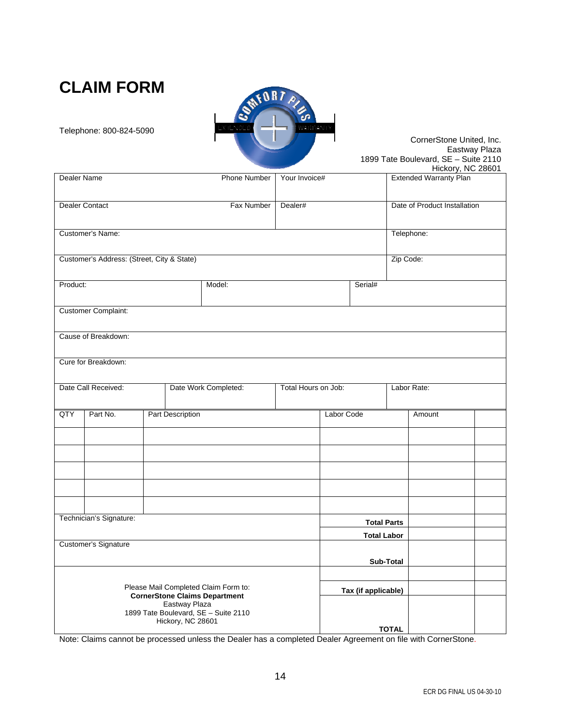### **CLAIM FORM**



Telephone: 800-824-5090

#### CornerStone United, Inc. Eastway Plaza 1899 Tate Boulevard, SE – Suite 2110

|                                                       |                                            |  |                  |                      |                     |              |         |           | Hickory, NC 28601             |  |
|-------------------------------------------------------|--------------------------------------------|--|------------------|----------------------|---------------------|--------------|---------|-----------|-------------------------------|--|
| Dealer Name                                           |                                            |  |                  | Phone Number         | Your Invoice#       |              |         |           | <b>Extended Warranty Plan</b> |  |
|                                                       |                                            |  |                  |                      |                     |              |         |           |                               |  |
|                                                       |                                            |  |                  |                      |                     |              |         |           |                               |  |
|                                                       | Dealer Contact                             |  |                  | Fax Number           | Dealer#             |              |         |           | Date of Product Installation  |  |
|                                                       |                                            |  |                  |                      |                     |              |         |           |                               |  |
|                                                       | Customer's Name:                           |  |                  |                      |                     |              |         |           | Telephone:                    |  |
|                                                       |                                            |  |                  |                      |                     |              |         |           |                               |  |
|                                                       |                                            |  |                  |                      |                     |              |         |           |                               |  |
|                                                       | Customer's Address: (Street, City & State) |  |                  |                      |                     |              |         | Zip Code: |                               |  |
|                                                       |                                            |  |                  |                      |                     |              |         |           |                               |  |
| Product:                                              |                                            |  |                  | Model:               |                     |              | Serial# |           |                               |  |
|                                                       |                                            |  |                  |                      |                     |              |         |           |                               |  |
|                                                       | <b>Customer Complaint:</b>                 |  |                  |                      |                     |              |         |           |                               |  |
|                                                       |                                            |  |                  |                      |                     |              |         |           |                               |  |
|                                                       |                                            |  |                  |                      |                     |              |         |           |                               |  |
|                                                       | Cause of Breakdown:                        |  |                  |                      |                     |              |         |           |                               |  |
|                                                       |                                            |  |                  |                      |                     |              |         |           |                               |  |
|                                                       | Cure for Breakdown:                        |  |                  |                      |                     |              |         |           |                               |  |
|                                                       |                                            |  |                  |                      |                     |              |         |           |                               |  |
|                                                       | Date Call Received:                        |  |                  | Date Work Completed: | Total Hours on Job: |              |         |           | Labor Rate:                   |  |
|                                                       |                                            |  |                  |                      |                     |              |         |           |                               |  |
|                                                       |                                            |  |                  |                      |                     |              |         |           |                               |  |
| <b>QTY</b>                                            | Part No.                                   |  | Part Description |                      |                     | Labor Code   |         |           | Amount                        |  |
|                                                       |                                            |  |                  |                      |                     |              |         |           |                               |  |
|                                                       |                                            |  |                  |                      |                     |              |         |           |                               |  |
|                                                       |                                            |  |                  |                      |                     |              |         |           |                               |  |
|                                                       |                                            |  |                  |                      |                     |              |         |           |                               |  |
|                                                       |                                            |  |                  |                      |                     |              |         |           |                               |  |
|                                                       |                                            |  |                  |                      |                     |              |         |           |                               |  |
|                                                       |                                            |  |                  |                      |                     |              |         |           |                               |  |
|                                                       |                                            |  |                  |                      |                     |              |         |           |                               |  |
|                                                       |                                            |  |                  |                      |                     |              |         |           |                               |  |
| Technician's Signature:                               |                                            |  |                  | <b>Total Parts</b>   |                     |              |         |           |                               |  |
|                                                       |                                            |  |                  |                      | <b>Total Labor</b>  |              |         |           |                               |  |
| Customer's Signature                                  |                                            |  |                  |                      |                     |              |         |           |                               |  |
|                                                       |                                            |  |                  |                      |                     |              |         |           |                               |  |
|                                                       |                                            |  |                  |                      |                     |              |         | Sub-Total |                               |  |
|                                                       |                                            |  |                  |                      |                     |              |         |           |                               |  |
| Please Mail Completed Claim Form to:                  |                                            |  |                  |                      | Tax (if applicable) |              |         |           |                               |  |
| <b>CornerStone Claims Department</b><br>Eastway Plaza |                                            |  |                  |                      |                     |              |         |           |                               |  |
|                                                       | 1899 Tate Boulevard, SE - Suite 2110       |  |                  |                      |                     |              |         |           |                               |  |
| Hickory, NC 28601                                     |                                            |  |                  |                      |                     |              |         |           |                               |  |
|                                                       |                                            |  |                  |                      |                     | <b>TOTAL</b> |         |           |                               |  |

Note: Claims cannot be processed unless the Dealer has a completed Dealer Agreement on file with CornerStone.

14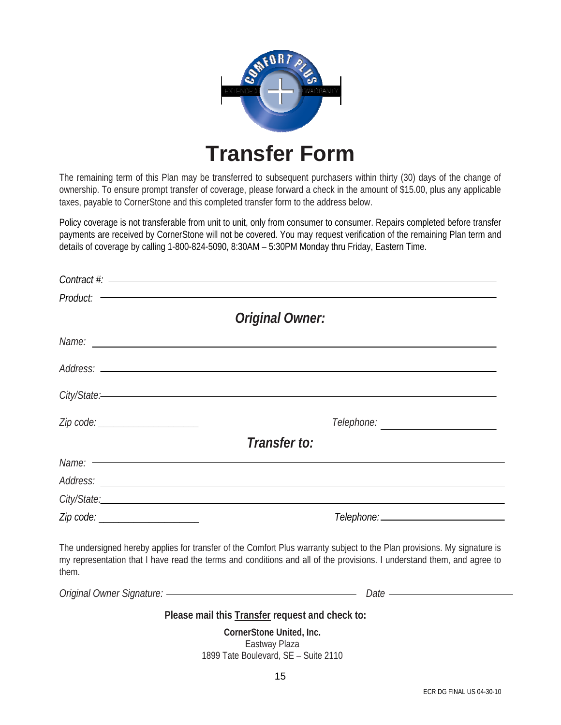

## **Transfer Form**

The remaining term of this Plan may be transferred to subsequent purchasers within thirty (30) days of the change of ownership. To ensure prompt transfer of coverage, please forward a check in the amount of \$15.00, plus any applicable taxes, payable to CornerStone and this completed transfer form to the address below.

Policy coverage is not transferable from unit to unit, only from consumer to consumer. Repairs completed before transfer payments are received by CornerStone will not be covered. You may request verification of the remaining Plan term and details of coverage by calling 1-800-824-5090, 8:30AM – 5:30PM Monday thru Friday, Eastern Time.

|                                                                                                                                                                                                                                | $Context$ : $\hspace{2.5cm}$                                                                                                                                                                                                                       |
|--------------------------------------------------------------------------------------------------------------------------------------------------------------------------------------------------------------------------------|----------------------------------------------------------------------------------------------------------------------------------------------------------------------------------------------------------------------------------------------------|
|                                                                                                                                                                                                                                |                                                                                                                                                                                                                                                    |
|                                                                                                                                                                                                                                | <b>Original Owner:</b>                                                                                                                                                                                                                             |
|                                                                                                                                                                                                                                | Name: <u>example</u> and the contract of the contract of the contract of the contract of the contract of the contract of the contract of the contract of the contract of the contract of the contract of the contract of the contra                |
|                                                                                                                                                                                                                                |                                                                                                                                                                                                                                                    |
|                                                                                                                                                                                                                                |                                                                                                                                                                                                                                                    |
| Zip code: _____________________                                                                                                                                                                                                |                                                                                                                                                                                                                                                    |
|                                                                                                                                                                                                                                | Transfer to:                                                                                                                                                                                                                                       |
| Name: - The Commission of the Commission of the Commission of the Commission of the Commission of the Commission of the Commission of the Commission of the Commission of the Commission of the Commission of the Commission o |                                                                                                                                                                                                                                                    |
|                                                                                                                                                                                                                                |                                                                                                                                                                                                                                                    |
| City/State: experience of the contract of the contract of the contract of the contract of the contract of the contract of the contract of the contract of the contract of the contract of the contract of the contract of the  |                                                                                                                                                                                                                                                    |
| Zip code: ______________________                                                                                                                                                                                               |                                                                                                                                                                                                                                                    |
| them.                                                                                                                                                                                                                          | The undersigned hereby applies for transfer of the Comfort Plus warranty subject to the Plan provisions. My signature is<br>my representation that I have read the terms and conditions and all of the provisions. I understand them, and agree to |
|                                                                                                                                                                                                                                | Original Owner Signature: — <b>Contract Contract Contract Contract Contract Contract Contract Contract Contract Contract Contract Contract Contract Contract Contract Contract Contract Contract Contract Contract Contract Cont</b>               |

**Please mail this Transfer request and check to:** 

**CornerStone United, Inc.**  Eastway Plaza 1899 Tate Boulevard, SE – Suite 2110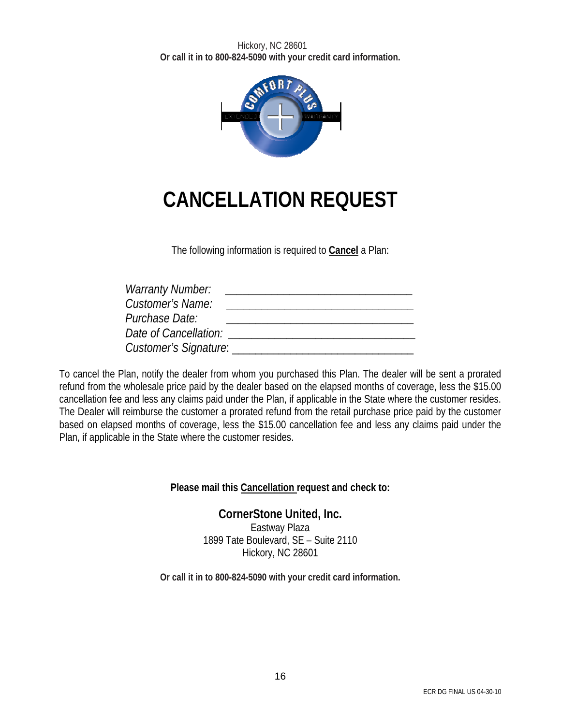

## **CANCELLATION REQUEST**

The following information is required to **Cancel** a Plan:

| <b>Warranty Number:</b>      |  |
|------------------------------|--|
| Customer's Name:             |  |
| Purchase Date:               |  |
| Date of Cancellation:        |  |
| <b>Customer's Signature:</b> |  |

To cancel the Plan, notify the dealer from whom you purchased this Plan. The dealer will be sent a prorated refund from the wholesale price paid by the dealer based on the elapsed months of coverage, less the \$15.00 cancellation fee and less any claims paid under the Plan, if applicable in the State where the customer resides. The Dealer will reimburse the customer a prorated refund from the retail purchase price paid by the customer based on elapsed months of coverage, less the \$15.00 cancellation fee and less any claims paid under the Plan, if applicable in the State where the customer resides.

**Please mail this Cancellation request and check to:** 

**CornerStone United, Inc.**  Eastway Plaza 1899 Tate Boulevard, SE – Suite 2110 Hickory, NC 28601

**Or call it in to 800-824-5090 with your credit card information.**